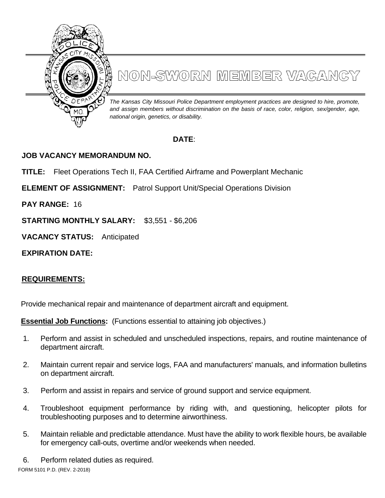

# NON-SWORN MEMBER VAGANGY

*The Kansas City Missouri Police Department employment practices are designed to hire, promote, and assign members without discrimination on the basis of race, color, religion, sex/gender, age, national origin, genetics, or disability.*

# **DATE**:

## **JOB VACANCY MEMORANDUM NO.**

**TITLE:** Fleet Operations Tech II, FAA Certified Airframe and Powerplant Mechanic

**ELEMENT OF ASSIGNMENT:** Patrol Support Unit/Special Operations Division

**PAY RANGE:** 16

**STARTING MONTHLY SALARY:** \$3,551 - \$6,206

**VACANCY STATUS:** Anticipated

**EXPIRATION DATE:**

### **REQUIREMENTS:**

Provide mechanical repair and maintenance of department aircraft and equipment.

**Essential Job Functions:** (Functions essential to attaining job objectives.)

- 1. Perform and assist in scheduled and unscheduled inspections, repairs, and routine maintenance of department aircraft.
- 2. Maintain current repair and service logs, FAA and manufacturers' manuals, and information bulletins on department aircraft.
- 3. Perform and assist in repairs and service of ground support and service equipment.
- 4. Troubleshoot equipment performance by riding with, and questioning, helicopter pilots for troubleshooting purposes and to determine airworthiness.
- 5. Maintain reliable and predictable attendance. Must have the ability to work flexible hours, be available for emergency call-outs, overtime and/or weekends when needed.
- 6. Perform related duties as required.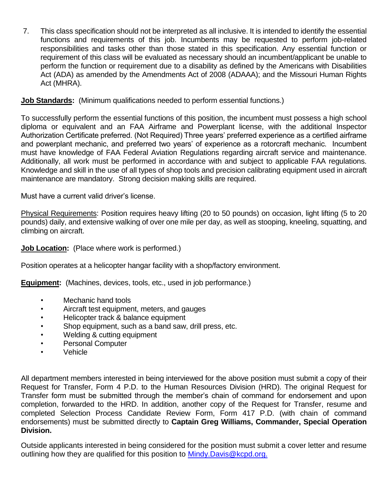7. This class specification should not be interpreted as all inclusive. It is intended to identify the essential functions and requirements of this job. Incumbents may be requested to perform job-related responsibilities and tasks other than those stated in this specification. Any essential function or requirement of this class will be evaluated as necessary should an incumbent/applicant be unable to perform the function or requirement due to a disability as defined by the Americans with Disabilities Act (ADA) as amended by the Amendments Act of 2008 (ADAAA); and the Missouri Human Rights Act (MHRA).

#### **Job Standards:** (Minimum qualifications needed to perform essential functions.)

To successfully perform the essential functions of this position, the incumbent must possess a high school diploma or equivalent and an FAA Airframe and Powerplant license, with the additional Inspector Authorization Certificate preferred. (Not Required) Three years' preferred experience as a certified airframe and powerplant mechanic, and preferred two years' of experience as a rotorcraft mechanic. Incumbent must have knowledge of FAA Federal Aviation Regulations regarding aircraft service and maintenance. Additionally, all work must be performed in accordance with and subject to applicable FAA regulations. Knowledge and skill in the use of all types of shop tools and precision calibrating equipment used in aircraft maintenance are mandatory. Strong decision making skills are required.

Must have a current valid driver's license.

Physical Requirements: Position requires heavy lifting (20 to 50 pounds) on occasion, light lifting (5 to 20 pounds) daily, and extensive walking of over one mile per day, as well as stooping, kneeling, squatting, and climbing on aircraft.

#### **Job Location:** (Place where work is performed.)

Position operates at a helicopter hangar facility with a shop/factory environment.

**Equipment:** (Machines, devices, tools, etc., used in job performance.)

- Mechanic hand tools
- Aircraft test equipment, meters, and gauges
- Helicopter track & balance equipment
- Shop equipment, such as a band saw, drill press, etc.
- Welding & cutting equipment
- Personal Computer
- Vehicle

All department members interested in being interviewed for the above position must submit a copy of their Request for Transfer, Form 4 P.D. to the Human Resources Division (HRD). The original Request for Transfer form must be submitted through the member's chain of command for endorsement and upon completion, forwarded to the HRD. In addition, another copy of the Request for Transfer, resume and completed Selection Process Candidate Review Form, Form 417 P.D. (with chain of command endorsements) must be submitted directly to **Captain Greg Williams, Commander, Special Operation Division.**

Outside applicants interested in being considered for the position must submit a cover letter and resume outlining how they are qualified for this position to [Mindy.Davis@kcpd.org.](mailto:Mindy.Davis@kcpd.org)